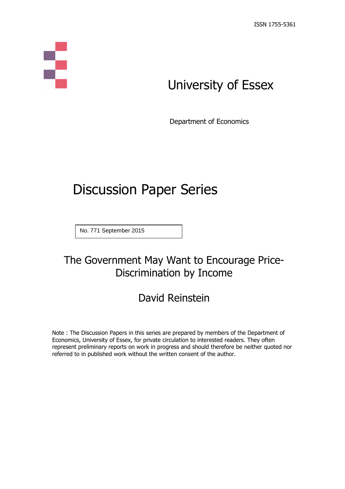# S

# University of Essex

Department of Economics

# Discussion Paper Series

No. 771 September 2015

### The Government May Want to Encourage Price-Discrimination by Income

## David Reinstein

Note : The Discussion Papers in this series are prepared by members of the Department of Economics, University of Essex, for private circulation to interested readers. They often represent preliminary reports on work in progress and should therefore be neither quoted nor referred to in published work without the written consent of the author.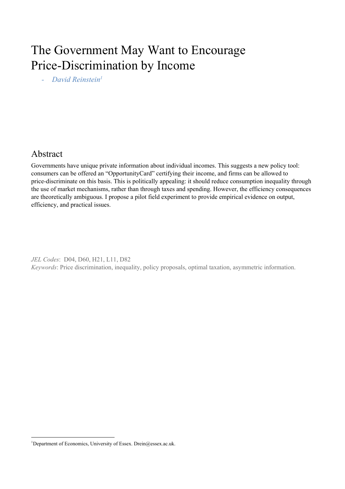## The Government May Want to Encourage Price-Discrimination by Income

*David Reinstein 1*

#### Abstract

Governments have unique private information about individual incomes. This suggests a new policy tool: consumers can be offered an "OpportunityCard" certifying their income, and firms can be allowed to price-discriminate on this basis. This is politically appealing: it should reduce consumption inequality through the use of market mechanisms, rather than through taxes and spending. However, the efficiency consequences are theoretically ambiguous. I propose a pilot field experiment to provide empirical evidence on output, efficiency, and practical issues.

*JEL Codes*: D04, D60, H21, L11, D82 *Keywords*: Price discrimination, inequality, policy proposals, optimal taxation, asymmetric information.

<sup>&</sup>lt;sup>1</sup>Department of Economics, University of Essex. Drein@essex.ac.uk.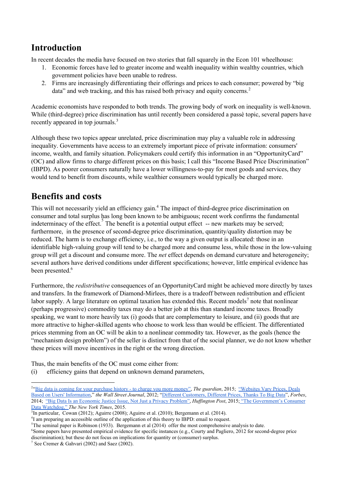#### **Introduction**

In recent decades the media have focused on two stories that fall squarely in the Econ 101 wheelhouse:

- 1. Economic forces have led to greater income and wealth inequality within wealthy countries, which government policies have been unable to redress.
- 2. Firms are increasingly differentiating their offerings and prices to each consumer; powered by "big data" and web tracking, and this has raised both privacy and equity concerns.<sup>2</sup>

Academic economists have responded to both trends. The growing body of work on inequality is well-known. While (third-degree) price discrimination has until recently been considered a passe topic, several papers have recently appeared in top journals.<sup>3</sup>

Although these two topics appear unrelated, price discrimination may play a valuable role in addressing inequality. Governments have access to an extremely important piece of private information: consumers' income, wealth, and family situation. Policymakers could certify this information in an "OpportunityCard" (OC) and allow firms to charge different prices on this basis; I call this "Income Based Price Discrimination" (IBPD). As poorer consumers naturally have a lower willingness-to-pay for most goods and services, they would tend to benefit from discounts, while wealthier consumers would typically be charged more.

#### **Benefits and costs**

This will not necessarily yield an efficiency gain.<sup>4</sup> The impact of third-degree price discrimination on consumer and total surplus has long been known to be ambiguous; recent work confirms the fundamental indeterminacy of the effect. The benefit is a potential output effect  $-$  new markets may be served; furthermore, in the presence of second-degree price discrimination, quantity/quality distortion may be reduced. The harm is to exchange efficiency, i.e., to the way a given output is allocated: those in an identifiable high-valuing group will tend to be charged more and consume less, while those in the low-valuing group will get a discount and consume more. The *net* effect depends on demand curvature and heterogeneity; several authors have derived conditions under different specifications; however, little empirical evidence has been presented. 6

Furthermore, the *redistributive* consequences of an OpportunityCard might be achieved more directly by taxes and transfers. In the framework of Diamond-Mirlees, there is a tradeoff between redistribution and efficient labor supply. A large literature on optimal taxation has extended this. Recent models<sup>7</sup> note that nonlinear (perhaps progressive) commodity taxes may do a better job at this than standard income taxes. Broadly speaking, we want to more heavily tax (i) goods that are complementary to leisure, and (ii) goods that are more attractive to higher-skilled agents who choose to work less than would be efficient. The differentiated prices stemming from an OC will be akin to a nonlinear commodity tax. However, as the goals (hence the "mechanism design problem") of the seller is distinct from that of the social planner, we do not know whether these prices will move incentives in the right or the wrong direction.

Thus, the main benefits of the OC must come either from:

(i) efficiency gains that depend on unknown demand parameters,

<sup>3</sup>In particular, Cowan (2012); Aguirre (2008); Aguirre et al. (2010); Bergemann et al. (2014).

<sup>6</sup>Some papers have presented empirical evidence for specific instances (e.g., Courty and Pagliero, 2012 for second-degree price discrimination); but these do not focus on implications for quantity or (consumer) surplus.

<sup>&</sup>lt;sup>2"</sup>Big data is coming for your [purchase](http://www.theguardian.com/commentisfree/2015/may/29/big-data-purchase-history-charge-you-more-money) history - to charge you more money", *The guardian*, 2015; ["Websites](http://www.wsj.com/articles/SB10001424127887323777204578189391813881534) Vary Prices, Deals Based on Users' [Information,](http://www.wsj.com/articles/SB10001424127887323777204578189391813881534)" *the Wall Street Journal*, 2012; "Different [Customers,](http://www.forbes.com/sites/adamtanner/2014/03/26/different-customers-different-prices-thanks-to-big-data/) Different Prices, Thanks To Big Data", *Forbes*, 2014; "Big Data Is an [Economic](http://www.huffingtonpost.com/nathan-newman/big-data-is-an-economic-j_b_6877256.htmll) Justice Issue, Not Just a Privacy Problem", *Huf ington Post*, 2015; "The [Government's](http://www.nytimes.com/2015/05/24/technology/the-governments-consumer-data-watchdog.html?_r=0) Consumer Data [Watchdog,"](http://www.nytimes.com/2015/05/24/technology/the-governments-consumer-data-watchdog.html?_r=0) *The New York Times*, 2015.

<sup>&</sup>lt;sup>4</sup>I am preparing an accessible outline of the application of this theory to IBPD: email to request.

<sup>5</sup>The seminal paper is Robinson (1933). Bergemann et al (2014) offer the most comprehensive analysis to date.

<sup>&</sup>lt;sup>7</sup> See Cremer & Gahvari (2002) and Saez (2002).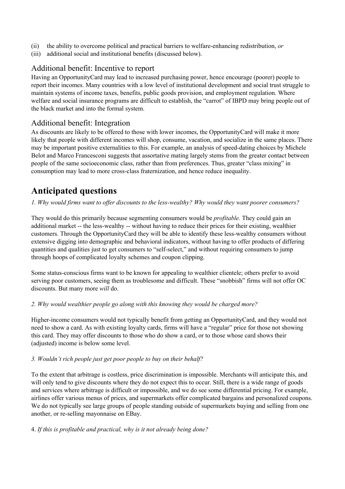- (ii) the ability to overcome political and practical barriers to welfareenhancing redistribution, *or*
- (iii) additional social and institutional benefits (discussed below).

#### Additional benefit: Incentive to report

Having an OpportunityCard may lead to increased purchasing power, hence encourage (poorer) people to report their incomes. Many countries with a low level of institutional development and social trust struggle to maintain systems of income taxes, benefits, public goods provision, and employment regulation. Where welfare and social insurance programs are difficult to establish, the "carrot" of IBPD may bring people out of the black market and into the formal system.

#### Additional benefit: Integration

As discounts are likely to be offered to those with lower incomes, the OpportunityCard will make it more likely that people with different incomes will shop, consume, vacation, and socialize in the same places. There may be important positive externalities to this. For example, an analysis of speed-dating choices by Michele Belot and Marco Francesconi suggests that assortative mating largely stems from the greater contact between people of the same socioeconomic class, rather than from preferences. Thus, greater "class mixing" in consumption may lead to more cross-class fraternization, and hence reduce inequality.

#### **Anticipated questions**

1. Why would firms want to offer discounts to the less-wealthy? Why would they want poorer consumers?

They would do this primarily because segmenting consumers would be *profitable.* They could gain an additional market -- the less-wealthy -- without having to reduce their prices for their existing, wealthier customers. Through the OpportunityCard they will be able to identify these less-wealthy consumers without extensive digging into demographic and behavioral indicators, without having to offer products of differing quantities and qualities just to get consumers to "self-select," and without requiring consumers to jump through hoops of complicated loyalty schemes and coupon clipping.

Some status-conscious firms want to be known for appealing to wealthier clientele; others prefer to avoid serving poor customers, seeing them as troublesome and difficult. These "snobbish" firms will not offer OC discounts. But many more *will* do.

#### *2. Why would wealthier people go along with this knowing they would be charged more?*

Higher-income consumers would not typically benefit from getting an OpportunityCard, and they would not need to show a card. As with existing loyalty cards, firms will have a "regular" price for those not showing this card. They may offer discounts to those who do show a card, or to those whose card shows their (adjusted) income is below some level.

#### *3. Wouldn't rich people just get poor people to buy on their behalf?*

To the extent that arbitrage is costless, price discrimination is impossible. Merchants will anticipate this, and will only tend to give discounts where they do not expect this to occur. Still, there is a wide range of goods and services where arbitrage is difficult or impossible, and we do see some differential pricing. For example, airlines offer various menus of prices, and supermarkets offer complicated bargains and personalized coupons. We do not typically see large groups of people standing outside of supermarkets buying and selling from one another, or re-selling mayonnaise on EBay.

#### 4. *If this is profitable and practical, why is it not already being done?*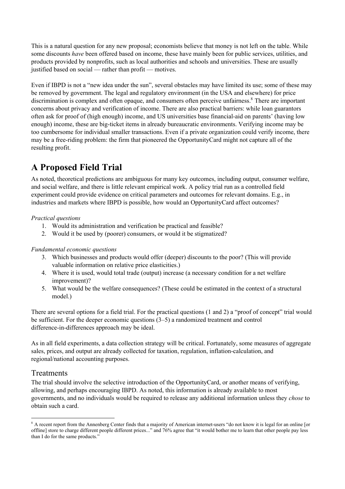This is a natural question for any new proposal; economists believe that money is not left on the table. While some discounts *have* been offered based on income, these have mainly been for public services, utilities, and products provided by nonprofits, such as local authorities and schools and universities. These are usually justified based on social — rather than profit — motives.

Even if IBPD is not a "new idea under the sun", several obstacles may have limited its use; some of these may be removed by government. The legal and regulatory environment (in the USA and elsewhere) for price discrimination is complex and often opaque, and consumers often perceive unfairness.<sup>8</sup> There are important concerns about privacy and verification of income. There are also practical barriers: while loan guarantors often ask for proof of (high enough) income, and US universities base financialaid on parents' (having low enough) income, these are big-ticket items in already bureaucratic environments. Verifying income may be too cumbersome for individual smaller transactions. Even if a private organization could verify income, there may be a freeriding problem: the firm that pioneered the OpportunityCard might not capture all of the resulting profit.

#### **A Proposed Field Trial**

As noted, theoretical predictions are ambiguous for many key outcomes, including output, consumer welfare, and social welfare, and there is little relevant empirical work. A policy trial run as a controlled field experiment could provide evidence on critical parameters and outcomes for relevant domains. E.g., in industries and markets where IBPD is possible, how would an OpportunityCard affect outcomes?

#### *Practical questions*

- 1. Would its administration and verification be practical and feasible?
- 2. Would it be used by (poorer) consumers, or would it be stigmatized?

#### *Fundamental economic questions*

- 3. Which businesses and products would offer (deeper) discounts to the poor? (This will provide valuable information on relative price elasticities.)
- 4. Where it is used, would total trade (output) increase (a necessary condition for a net welfare improvement)?
- 5. What would be the welfare consequences? (These could be estimated in the context of a structural model.)

There are several options for a field trial. For the practical questions (1 and 2) a "proof of concept" trial would be sufficient. For the deeper economic questions (3–5) a randomized treatment and control difference-in-differences approach may be ideal.

As in all field experiments, a data collection strategy will be critical. Fortunately, some measures of aggregate sales, prices, and output are already collected for taxation, regulation, inflation-calculation, and regional/national accounting purposes.

#### Treatments

The trial should involve the selective introduction of the OpportunityCard, or another means of verifying, allowing, and perhaps encouraging IBPD. As noted, this information is already available to most governments, and no individuals would be required to release any additional information unless they *chose* to obtain such a card.

<sup>&</sup>lt;sup>8</sup> A recent report from the Annenberg Center finds that a majority of American internet-users "do not know it is legal for an online [or offline] store to charge different people different prices..." and 76% agree that "it would bother me to learn that other people pay less than I do for the same products.'